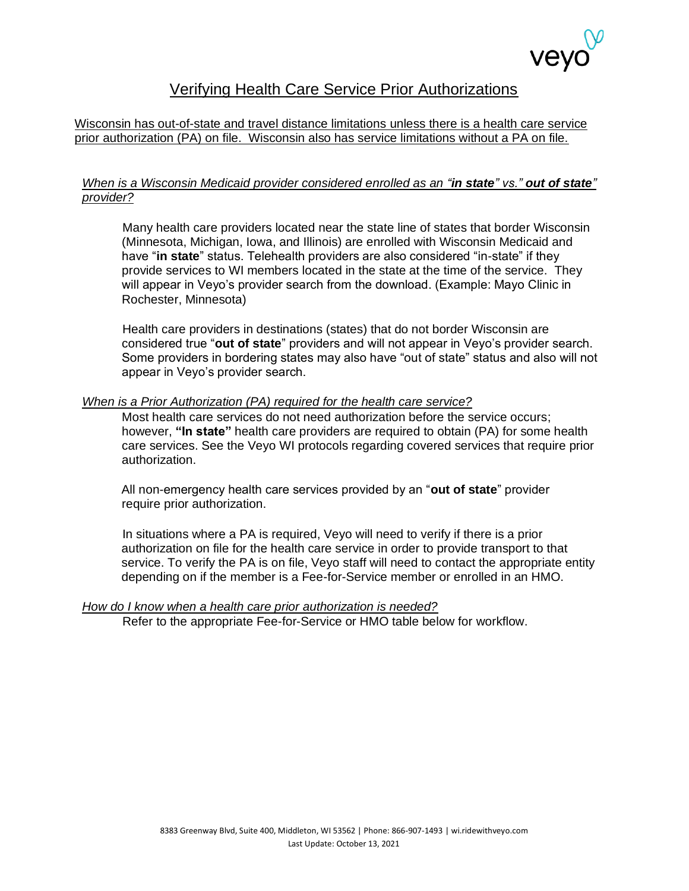

### Verifying Health Care Service Prior Authorizations

Wisconsin has out-of-state and travel distance limitations unless there is a health care service prior authorization (PA) on file. Wisconsin also has service limitations without a PA on file.

### *When is a Wisconsin Medicaid provider considered enrolled as an "in state" vs." out of state" provider?*

Many health care providers located near the state line of states that border Wisconsin (Minnesota, Michigan, Iowa, and Illinois) are enrolled with Wisconsin Medicaid and have "**in state**" status. Telehealth providers are also considered "in-state" if they provide services to WI members located in the state at the time of the service. They will appear in Veyo's provider search from the download. (Example: Mayo Clinic in Rochester, Minnesota)

Health care providers in destinations (states) that do not border Wisconsin are considered true "**out of state**" providers and will not appear in Veyo's provider search. Some providers in bordering states may also have "out of state" status and also will not appear in Veyo's provider search.

#### *When is a Prior Authorization (PA) required for the health care service?*

Most health care services do not need authorization before the service occurs; however, **"In state"** health care providers are required to obtain (PA) for some health care services. See the Veyo WI protocols regarding covered services that require prior authorization.

All non-emergency health care services provided by an "**out of state**" provider require prior authorization.

In situations where a PA is required, Veyo will need to verify if there is a prior authorization on file for the health care service in order to provide transport to that service. To verify the PA is on file, Veyo staff will need to contact the appropriate entity depending on if the member is a Fee-for-Service member or enrolled in an HMO.

#### *How do I know when a health care prior authorization is needed?*

Refer to the appropriate Fee-for-Service or HMO table below for workflow.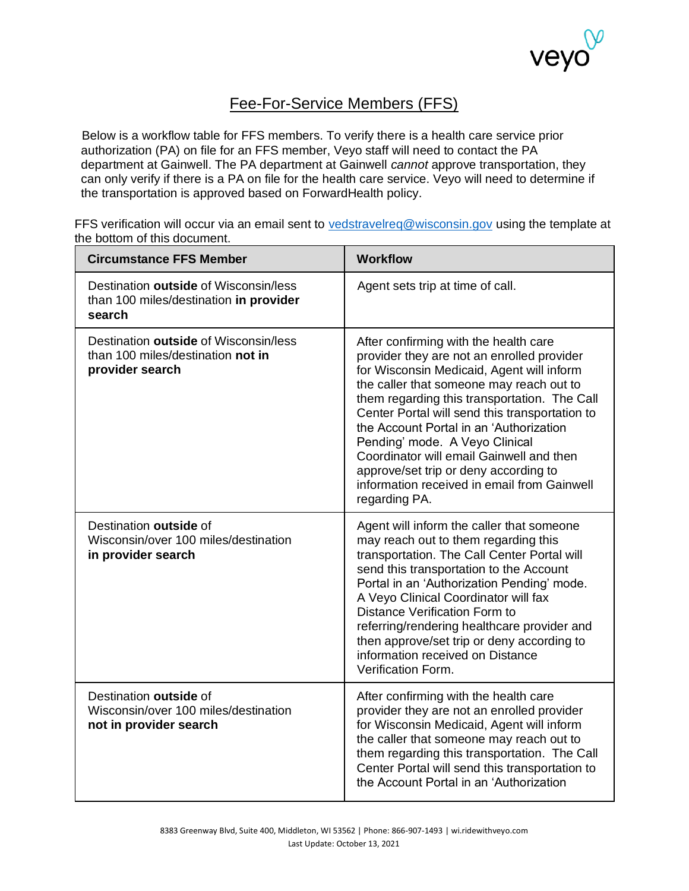

## Fee-For-Service Members (FFS)

Below is a workflow table for FFS members. To verify there is a health care service prior authorization (PA) on file for an FFS member, Veyo staff will need to contact the PA department at Gainwell. The PA department at Gainwell *cannot* approve transportation, they can only verify if there is a PA on file for the health care service. Veyo will need to determine if the transportation is approved based on ForwardHealth policy.

FFS verification will occur via an email sent to [vedstravelreq@wisconsin.gov](mailto:vedstravelreq@wisconsin.gov) using the template at the bottom of this document.

| <b>Circumstance FFS Member</b>                                                                | <b>Workflow</b>                                                                                                                                                                                                                                                                                                                                                                                                                                                                                                  |  |  |
|-----------------------------------------------------------------------------------------------|------------------------------------------------------------------------------------------------------------------------------------------------------------------------------------------------------------------------------------------------------------------------------------------------------------------------------------------------------------------------------------------------------------------------------------------------------------------------------------------------------------------|--|--|
| Destination outside of Wisconsin/less<br>than 100 miles/destination in provider<br>search     | Agent sets trip at time of call.                                                                                                                                                                                                                                                                                                                                                                                                                                                                                 |  |  |
| Destination outside of Wisconsin/less<br>than 100 miles/destination not in<br>provider search | After confirming with the health care<br>provider they are not an enrolled provider<br>for Wisconsin Medicaid, Agent will inform<br>the caller that someone may reach out to<br>them regarding this transportation. The Call<br>Center Portal will send this transportation to<br>the Account Portal in an 'Authorization<br>Pending' mode. A Veyo Clinical<br>Coordinator will email Gainwell and then<br>approve/set trip or deny according to<br>information received in email from Gainwell<br>regarding PA. |  |  |
| Destination outside of<br>Wisconsin/over 100 miles/destination<br>in provider search          | Agent will inform the caller that someone<br>may reach out to them regarding this<br>transportation. The Call Center Portal will<br>send this transportation to the Account<br>Portal in an 'Authorization Pending' mode.<br>A Veyo Clinical Coordinator will fax<br>Distance Verification Form to<br>referring/rendering healthcare provider and<br>then approve/set trip or deny according to<br>information received on Distance<br>Verification Form.                                                        |  |  |
| Destination outside of<br>Wisconsin/over 100 miles/destination<br>not in provider search      | After confirming with the health care<br>provider they are not an enrolled provider<br>for Wisconsin Medicaid, Agent will inform<br>the caller that someone may reach out to<br>them regarding this transportation. The Call<br>Center Portal will send this transportation to<br>the Account Portal in an 'Authorization                                                                                                                                                                                        |  |  |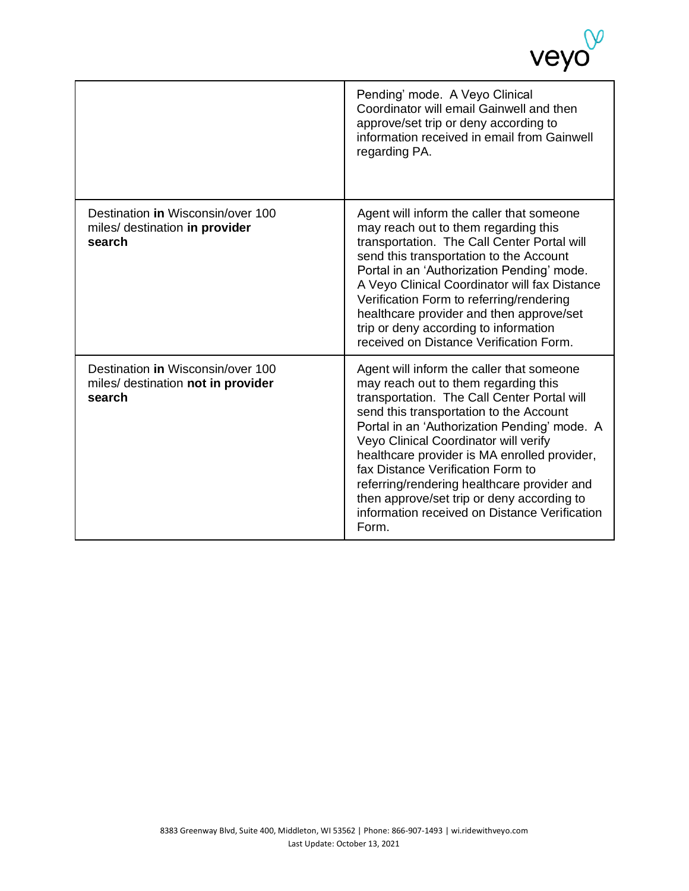|                                                                                   | Pending' mode. A Veyo Clinical<br>Coordinator will email Gainwell and then<br>approve/set trip or deny according to<br>information received in email from Gainwell<br>regarding PA.                                                                                                                                                                                                                                                                                                                              |
|-----------------------------------------------------------------------------------|------------------------------------------------------------------------------------------------------------------------------------------------------------------------------------------------------------------------------------------------------------------------------------------------------------------------------------------------------------------------------------------------------------------------------------------------------------------------------------------------------------------|
| Destination in Wisconsin/over 100<br>miles/ destination in provider<br>search     | Agent will inform the caller that someone<br>may reach out to them regarding this<br>transportation. The Call Center Portal will<br>send this transportation to the Account<br>Portal in an 'Authorization Pending' mode.<br>A Veyo Clinical Coordinator will fax Distance<br>Verification Form to referring/rendering<br>healthcare provider and then approve/set<br>trip or deny according to information<br>received on Distance Verification Form.                                                           |
| Destination in Wisconsin/over 100<br>miles/ destination not in provider<br>search | Agent will inform the caller that someone<br>may reach out to them regarding this<br>transportation. The Call Center Portal will<br>send this transportation to the Account<br>Portal in an 'Authorization Pending' mode. A<br>Veyo Clinical Coordinator will verify<br>healthcare provider is MA enrolled provider,<br>fax Distance Verification Form to<br>referring/rendering healthcare provider and<br>then approve/set trip or deny according to<br>information received on Distance Verification<br>Form. |